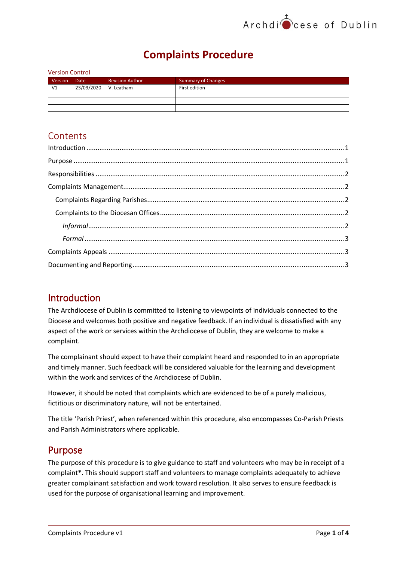# **Complaints Procedure**

| <b>Version Control</b> |             |                        |                           |
|------------------------|-------------|------------------------|---------------------------|
| Version                | <b>Date</b> | <b>Revision Author</b> | <b>Summary of Changes</b> |
| V <sub>1</sub>         | 23/09/2020  | V. Leatham             | First edition             |
|                        |             |                        |                           |
|                        |             |                        |                           |
|                        |             |                        |                           |

## **Contents**

| $\label{eq:1} \mbox{Introduction} \,\, \ldots \,\, \ldots \,\, \ldots \,\, \ldots \,\, \ldots \,\, \ldots \,\, \ldots \,\, \ldots \,\, \ldots \,\, \ldots \,\, \ldots \,\, \ldots \,\, \ldots \,\, \ldots \,\, \ldots \,\, \ldots \,\, \ldots \,\, \ldots \,\, \ldots \,\, \ldots \,\, \ldots \,\, \ldots \,\, \ldots \,\, \ldots \,\, \ldots \,\, \ldots \,\, \ldots \,\, \ldots \,\, \ldots \,\, \ldots \,\, \ldots \,\, \ldots \,\, \ldots \,\, \ldots \,\,$ |
|-----------------------------------------------------------------------------------------------------------------------------------------------------------------------------------------------------------------------------------------------------------------------------------------------------------------------------------------------------------------------------------------------------------------------------------------------------------------|
|                                                                                                                                                                                                                                                                                                                                                                                                                                                                 |
|                                                                                                                                                                                                                                                                                                                                                                                                                                                                 |
|                                                                                                                                                                                                                                                                                                                                                                                                                                                                 |
|                                                                                                                                                                                                                                                                                                                                                                                                                                                                 |
|                                                                                                                                                                                                                                                                                                                                                                                                                                                                 |
|                                                                                                                                                                                                                                                                                                                                                                                                                                                                 |
|                                                                                                                                                                                                                                                                                                                                                                                                                                                                 |
|                                                                                                                                                                                                                                                                                                                                                                                                                                                                 |
|                                                                                                                                                                                                                                                                                                                                                                                                                                                                 |
|                                                                                                                                                                                                                                                                                                                                                                                                                                                                 |

# <span id="page-0-0"></span>Introduction

The Archdiocese of Dublin is committed to listening to viewpoints of individuals connected to the Diocese and welcomes both positive and negative feedback. If an individual is dissatisfied with any aspect of the work or services within the Archdiocese of Dublin, they are welcome to make a complaint.

The complainant should expect to have their complaint heard and responded to in an appropriate and timely manner. Such feedback will be considered valuable for the learning and development within the work and services of the Archdiocese of Dublin.

However, it should be noted that complaints which are evidenced to be of a purely malicious, fictitious or discriminatory nature, will not be entertained.

The title 'Parish Priest', when referenced within this procedure, also encompasses Co-Parish Priests and Parish Administrators where applicable.

## <span id="page-0-1"></span>Purpose

The purpose of this procedure is to give guidance to staff and volunteers who may be in receipt of a complaint**\***. This should support staff and volunteers to manage complaints adequately to achieve greater complainant satisfaction and work toward resolution. It also serves to ensure feedback is used for the purpose of organisational learning and improvement.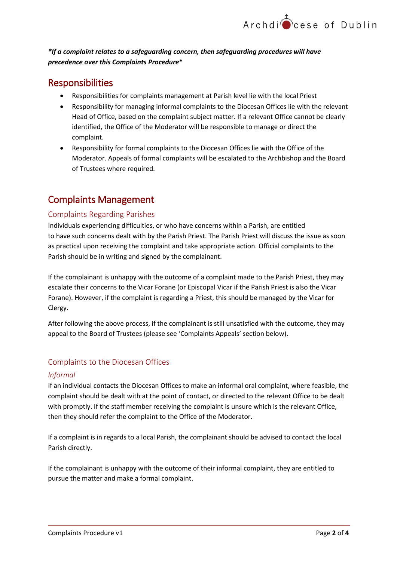#### *\*If a complaint relates to a safeguarding concern, then safeguarding procedures will have precedence over this Complaints Procedure***\***

# <span id="page-1-0"></span>Responsibilities

- Responsibilities for complaints management at Parish level lie with the local Priest
- Responsibility for managing informal complaints to the Diocesan Offices lie with the relevant Head of Office, based on the complaint subject matter. If a relevant Office cannot be clearly identified, the Office of the Moderator will be responsible to manage or direct the complaint.
- Responsibility for formal complaints to the Diocesan Offices lie with the Office of the Moderator. Appeals of formal complaints will be escalated to the Archbishop and the Board of Trustees where required.

# <span id="page-1-1"></span>Complaints Management

#### <span id="page-1-2"></span>Complaints Regarding Parishes

Individuals experiencing difficulties, or who have concerns within a Parish, are entitled to have such concerns dealt with by the Parish Priest. The Parish Priest will discuss the issue as soon as practical upon receiving the complaint and take appropriate action. Official complaints to the Parish should be in writing and signed by the complainant.

If the complainant is unhappy with the outcome of a complaint made to the Parish Priest, they may escalate their concerns to the Vicar Forane (or Episcopal Vicar if the Parish Priest is also the Vicar Forane). However, if the complaint is regarding a Priest, this should be managed by the Vicar for Clergy.

After following the above process, if the complainant is still unsatisfied with the outcome, they may appeal to the Board of Trustees (please see 'Complaints Appeals' section below).

#### <span id="page-1-3"></span>Complaints to the Diocesan Offices

#### <span id="page-1-4"></span>*Informal*

If an individual contacts the Diocesan Offices to make an informal oral complaint, where feasible, the complaint should be dealt with at the point of contact, or directed to the relevant Office to be dealt with promptly. If the staff member receiving the complaint is unsure which is the relevant Office, then they should refer the complaint to the Office of the Moderator.

If a complaint is in regards to a local Parish, the complainant should be advised to contact the local Parish directly.

If the complainant is unhappy with the outcome of their informal complaint, they are entitled to pursue the matter and make a formal complaint.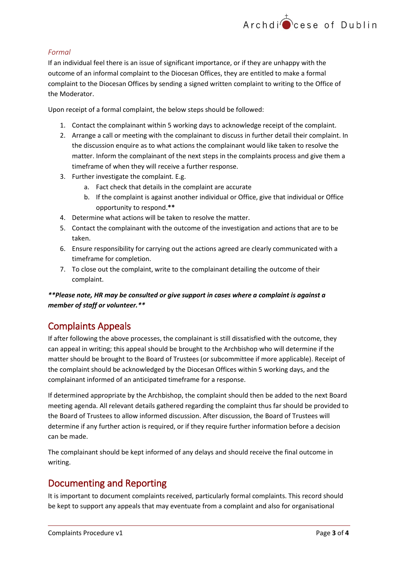#### <span id="page-2-0"></span>*Formal*

If an individual feel there is an issue of significant importance, or if they are unhappy with the outcome of an informal complaint to the Diocesan Offices, they are entitled to make a formal complaint to the Diocesan Offices by sending a signed written complaint to writing to the Office of the Moderator.

Upon receipt of a formal complaint, the below steps should be followed:

- 1. Contact the complainant within 5 working days to acknowledge receipt of the complaint.
- 2. Arrange a call or meeting with the complainant to discuss in further detail their complaint. In the discussion enquire as to what actions the complainant would like taken to resolve the matter. Inform the complainant of the next steps in the complaints process and give them a timeframe of when they will receive a further response.
- 3. Further investigate the complaint. E.g.
	- a. Fact check that details in the complaint are accurate
	- b. If the complaint is against another individual or Office, give that individual or Office opportunity to respond.**\*\***
- 4. Determine what actions will be taken to resolve the matter.
- 5. Contact the complainant with the outcome of the investigation and actions that are to be taken.
- 6. Ensure responsibility for carrying out the actions agreed are clearly communicated with a timeframe for completion.
- 7. To close out the complaint, write to the complainant detailing the outcome of their complaint.

#### *\*\*Please note, HR may be consulted or give support in cases where a complaint is against a member of staff or volunteer.\*\**

## <span id="page-2-1"></span>Complaints Appeals

If after following the above processes, the complainant is still dissatisfied with the outcome, they can appeal in writing; this appeal should be brought to the Archbishop who will determine if the matter should be brought to the Board of Trustees (or subcommittee if more applicable). Receipt of the complaint should be acknowledged by the Diocesan Offices within 5 working days, and the complainant informed of an anticipated timeframe for a response.

If determined appropriate by the Archbishop, the complaint should then be added to the next Board meeting agenda. All relevant details gathered regarding the complaint thus far should be provided to the Board of Trustees to allow informed discussion. After discussion, the Board of Trustees will determine if any further action is required, or if they require further information before a decision can be made.

The complainant should be kept informed of any delays and should receive the final outcome in writing.

## <span id="page-2-2"></span>Documenting and Reporting

It is important to document complaints received, particularly formal complaints. This record should be kept to support any appeals that may eventuate from a complaint and also for organisational